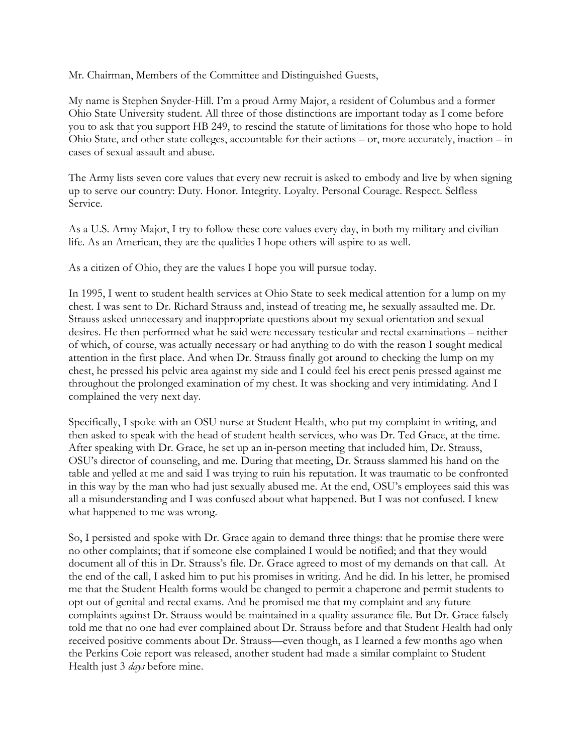Mr. Chairman, Members of the Committee and Distinguished Guests,

My name is Stephen Snyder-Hill. I'm a proud Army Major, a resident of Columbus and a former Ohio State University student. All three of those distinctions are important today as I come before you to ask that you support HB 249, to rescind the statute of limitations for those who hope to hold Ohio State, and other state colleges, accountable for their actions – or, more accurately, inaction – in cases of sexual assault and abuse.

The Army lists seven core values that every new recruit is asked to embody and live by when signing up to serve our country: Duty. Honor. Integrity. Loyalty. Personal Courage. Respect. Selfless Service.

As a U.S. Army Major, I try to follow these core values every day, in both my military and civilian life. As an American, they are the qualities I hope others will aspire to as well.

As a citizen of Ohio, they are the values I hope you will pursue today.

In 1995, I went to student health services at Ohio State to seek medical attention for a lump on my chest. I was sent to Dr. Richard Strauss and, instead of treating me, he sexually assaulted me. Dr. Strauss asked unnecessary and inappropriate questions about my sexual orientation and sexual desires. He then performed what he said were necessary testicular and rectal examinations – neither of which, of course, was actually necessary or had anything to do with the reason I sought medical attention in the first place. And when Dr. Strauss finally got around to checking the lump on my chest, he pressed his pelvic area against my side and I could feel his erect penis pressed against me throughout the prolonged examination of my chest. It was shocking and very intimidating. And I complained the very next day.

Specifically, I spoke with an OSU nurse at Student Health, who put my complaint in writing, and then asked to speak with the head of student health services, who was Dr. Ted Grace, at the time. After speaking with Dr. Grace, he set up an in-person meeting that included him, Dr. Strauss, OSU's director of counseling, and me. During that meeting, Dr. Strauss slammed his hand on the table and yelled at me and said I was trying to ruin his reputation. It was traumatic to be confronted in this way by the man who had just sexually abused me. At the end, OSU's employees said this was all a misunderstanding and I was confused about what happened. But I was not confused. I knew what happened to me was wrong.

So, I persisted and spoke with Dr. Grace again to demand three things: that he promise there were no other complaints; that if someone else complained I would be notified; and that they would document all of this in Dr. Strauss's file. Dr. Grace agreed to most of my demands on that call. At the end of the call, I asked him to put his promises in writing. And he did. In his letter, he promised me that the Student Health forms would be changed to permit a chaperone and permit students to opt out of genital and rectal exams. And he promised me that my complaint and any future complaints against Dr. Strauss would be maintained in a quality assurance file. But Dr. Grace falsely told me that no one had ever complained about Dr. Strauss before and that Student Health had only received positive comments about Dr. Strauss—even though, as I learned a few months ago when the Perkins Coie report was released, another student had made a similar complaint to Student Health just 3 *days* before mine.